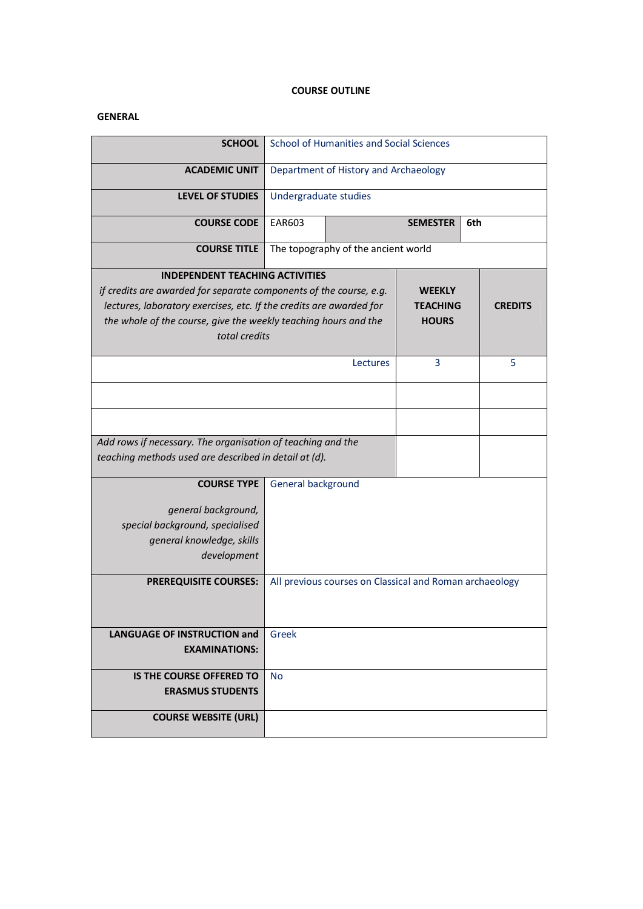# **COURSE OUTLINE**

# **GENERAL**

| <b>SCHOOL</b>                                                       | School of Humanities and Social Sciences                |                        |  |  |  |
|---------------------------------------------------------------------|---------------------------------------------------------|------------------------|--|--|--|
| <b>ACADEMIC UNIT</b>                                                | Department of History and Archaeology                   |                        |  |  |  |
| <b>LEVEL OF STUDIES</b>                                             | Undergraduate studies                                   |                        |  |  |  |
| <b>COURSE CODE</b>                                                  | <b>EAR603</b>                                           | 6th<br><b>SEMESTER</b> |  |  |  |
| <b>COURSE TITLE</b>                                                 | The topography of the ancient world                     |                        |  |  |  |
| <b>INDEPENDENT TEACHING ACTIVITIES</b>                              |                                                         |                        |  |  |  |
| if credits are awarded for separate components of the course, e.g.  | <b>WEEKLY</b>                                           |                        |  |  |  |
| lectures, laboratory exercises, etc. If the credits are awarded for | <b>TEACHING</b><br><b>CREDITS</b>                       |                        |  |  |  |
| the whole of the course, give the weekly teaching hours and the     | <b>HOURS</b>                                            |                        |  |  |  |
| total credits                                                       |                                                         |                        |  |  |  |
|                                                                     |                                                         |                        |  |  |  |
|                                                                     | 3<br>5<br>Lectures                                      |                        |  |  |  |
|                                                                     |                                                         |                        |  |  |  |
|                                                                     |                                                         |                        |  |  |  |
|                                                                     |                                                         |                        |  |  |  |
| Add rows if necessary. The organisation of teaching and the         |                                                         |                        |  |  |  |
| teaching methods used are described in detail at (d).               |                                                         |                        |  |  |  |
|                                                                     |                                                         |                        |  |  |  |
| <b>COURSE TYPE</b>                                                  | General background                                      |                        |  |  |  |
| general background,                                                 |                                                         |                        |  |  |  |
| special background, specialised                                     |                                                         |                        |  |  |  |
| general knowledge, skills                                           |                                                         |                        |  |  |  |
| development                                                         |                                                         |                        |  |  |  |
|                                                                     |                                                         |                        |  |  |  |
| <b>PREREQUISITE COURSES:</b>                                        | All previous courses on Classical and Roman archaeology |                        |  |  |  |
|                                                                     |                                                         |                        |  |  |  |
|                                                                     |                                                         |                        |  |  |  |
| <b>LANGUAGE OF INSTRUCTION and</b>                                  | Greek                                                   |                        |  |  |  |
| <b>EXAMINATIONS:</b>                                                |                                                         |                        |  |  |  |
|                                                                     |                                                         |                        |  |  |  |
| IS THE COURSE OFFERED TO                                            | <b>No</b>                                               |                        |  |  |  |
| <b>ERASMUS STUDENTS</b>                                             |                                                         |                        |  |  |  |
|                                                                     |                                                         |                        |  |  |  |
| <b>COURSE WEBSITE (URL)</b>                                         |                                                         |                        |  |  |  |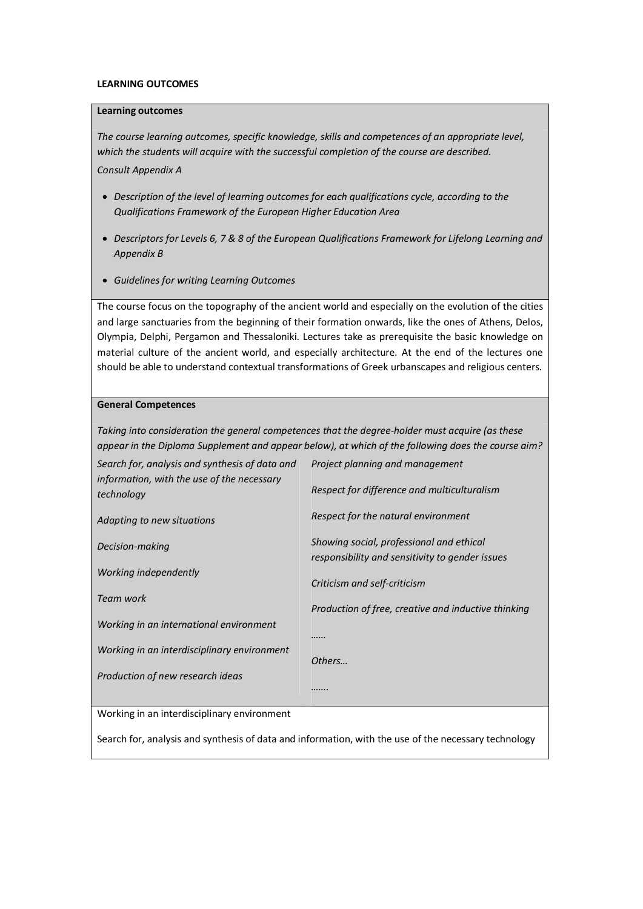#### **LEARNING OUTCOMES**

#### **Learning outcomes**

*The course learning outcomes, specific knowledge, skills and competences of an appropriate level, which the students will acquire with the successful completion of the course are described. Consult Appendix A* 

- · *Description of the level of learning outcomes for each qualifications cycle, according to the Qualifications Framework of the European Higher Education Area*
- · *Descriptors for Levels 6, 7 & 8 of the European Qualifications Framework for Lifelong Learning and Appendix B*
- · *Guidelines for writing Learning Outcomes*

The course focus on the topography of the ancient world and especially on the evolution of the cities and large sanctuaries from the beginning of their formation onwards, like the ones of Athens, Delos, Olympia, Delphi, Pergamon and Thessaloniki. Lectures take as prerequisite the basic knowledge on material culture of the ancient world, and especially architecture. At the end of the lectures one should be able to understand contextual transformations of Greek urbanscapes and religious centers.

## **General Competences**

*Taking into consideration the general competences that the degree-holder must acquire (as these appear in the Diploma Supplement and appear below), at which of the following does the course aim?*

| Search for, analysis and synthesis of data and           | Project planning and management                                                             |  |  |  |
|----------------------------------------------------------|---------------------------------------------------------------------------------------------|--|--|--|
| information, with the use of the necessary<br>technology | Respect for difference and multiculturalism                                                 |  |  |  |
| Adapting to new situations                               | Respect for the natural environment                                                         |  |  |  |
| Decision-making                                          | Showing social, professional and ethical<br>responsibility and sensitivity to gender issues |  |  |  |
| Working independently                                    | Criticism and self-criticism                                                                |  |  |  |
| Team work                                                | Production of free, creative and inductive thinking                                         |  |  |  |
| Working in an international environment                  |                                                                                             |  |  |  |
| Working in an interdisciplinary environment              | Others                                                                                      |  |  |  |
| Production of new research ideas                         |                                                                                             |  |  |  |
|                                                          |                                                                                             |  |  |  |
| <i>Morking in an interdisciplinary environment</i>       |                                                                                             |  |  |  |

Working in an interdisciplinary environment

Search for, analysis and synthesis of data and information, with the use of the necessary technology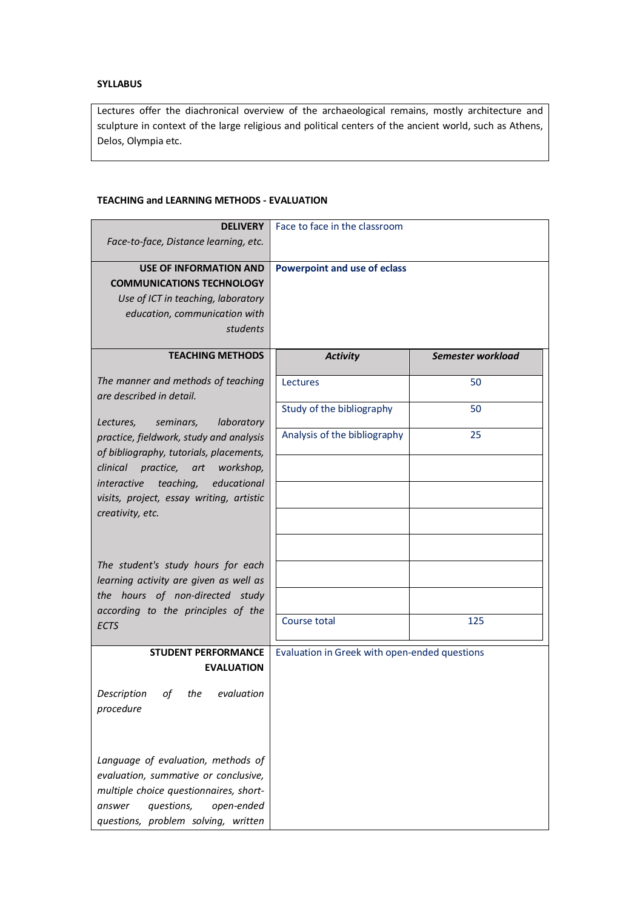# **SYLLABUS**

Lectures offer the diachronical overview of the archaeological remains, mostly architecture and sculpture in context of the large religious and political centers of the ancient world, such as Athens, Delos, Olympia etc.

## **TEACHING and LEARNING METHODS - EVALUATION**

| <b>DELIVERY</b>                                                                            | Face to face in the classroom                 |                   |  |
|--------------------------------------------------------------------------------------------|-----------------------------------------------|-------------------|--|
| Face-to-face, Distance learning, etc.                                                      |                                               |                   |  |
| <b>USE OF INFORMATION AND</b><br><b>COMMUNICATIONS TECHNOLOGY</b>                          | <b>Powerpoint and use of eclass</b>           |                   |  |
| Use of ICT in teaching, laboratory                                                         |                                               |                   |  |
| education, communication with<br>students                                                  |                                               |                   |  |
|                                                                                            |                                               |                   |  |
| <b>TEACHING METHODS</b>                                                                    | <b>Activity</b>                               | Semester workload |  |
| The manner and methods of teaching<br>are described in detail.                             | Lectures                                      | 50                |  |
| laboratory<br>Lectures,<br>seminars,                                                       | Study of the bibliography                     | 50                |  |
| practice, fieldwork, study and analysis<br>of bibliography, tutorials, placements,         | Analysis of the bibliography                  | 25                |  |
| clinical<br>practice, art workshop,                                                        |                                               |                   |  |
| teaching,<br>educational<br><i>interactive</i><br>visits, project, essay writing, artistic |                                               |                   |  |
| creativity, etc.                                                                           |                                               |                   |  |
|                                                                                            |                                               |                   |  |
| The student's study hours for each                                                         |                                               |                   |  |
| learning activity are given as well as                                                     |                                               |                   |  |
| the hours of non-directed study                                                            |                                               |                   |  |
| according to the principles of the<br>ECTS                                                 | Course total                                  | 125               |  |
| <b>STUDENT PERFORMANCE</b>                                                                 | Evaluation in Greek with open-ended questions |                   |  |
| <b>EVALUATION</b>                                                                          |                                               |                   |  |
| Description<br>evaluation<br>οf<br>the                                                     |                                               |                   |  |
| procedure                                                                                  |                                               |                   |  |
|                                                                                            |                                               |                   |  |
| Language of evaluation, methods of                                                         |                                               |                   |  |
| evaluation, summative or conclusive,<br>multiple choice questionnaires, short-             |                                               |                   |  |
| questions,<br>open-ended<br>answer                                                         |                                               |                   |  |
| questions, problem solving, written                                                        |                                               |                   |  |